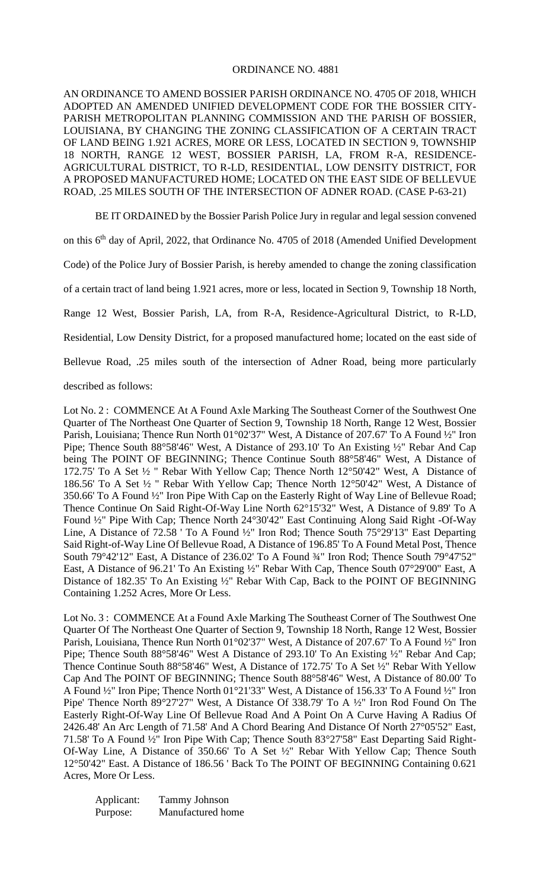## ORDINANCE NO. 4881

AN ORDINANCE TO AMEND BOSSIER PARISH ORDINANCE NO. 4705 OF 2018, WHICH ADOPTED AN AMENDED UNIFIED DEVELOPMENT CODE FOR THE BOSSIER CITY-PARISH METROPOLITAN PLANNING COMMISSION AND THE PARISH OF BOSSIER, LOUISIANA, BY CHANGING THE ZONING CLASSIFICATION OF A CERTAIN TRACT OF LAND BEING 1.921 ACRES, MORE OR LESS, LOCATED IN SECTION 9, TOWNSHIP 18 NORTH, RANGE 12 WEST, BOSSIER PARISH, LA, FROM R-A, RESIDENCE-AGRICULTURAL DISTRICT, TO R-LD, RESIDENTIAL, LOW DENSITY DISTRICT, FOR A PROPOSED MANUFACTURED HOME; LOCATED ON THE EAST SIDE OF BELLEVUE ROAD, .25 MILES SOUTH OF THE INTERSECTION OF ADNER ROAD. (CASE P-63-21)

BE IT ORDAINED by the Bossier Parish Police Jury in regular and legal session convened

on this 6<sup>th</sup> day of April, 2022, that Ordinance No. 4705 of 2018 (Amended Unified Development

Code) of the Police Jury of Bossier Parish, is hereby amended to change the zoning classification

of a certain tract of land being 1.921 acres, more or less, located in Section 9, Township 18 North,

Range 12 West, Bossier Parish, LA, from R-A, Residence-Agricultural District, to R-LD,

Residential, Low Density District, for a proposed manufactured home; located on the east side of

Bellevue Road, .25 miles south of the intersection of Adner Road, being more particularly

described as follows:

Lot No. 2 : COMMENCE At A Found Axle Marking The Southeast Corner of the Southwest One Quarter of The Northeast One Quarter of Section 9, Township 18 North, Range 12 West, Bossier Parish, Louisiana; Thence Run North 01°02'37" West, A Distance of 207.67' To A Found ½" Iron Pipe; Thence South 88°58'46" West, A Distance of 293.10' To An Existing ½" Rebar And Cap being The POINT OF BEGINNING; Thence Continue South 88°58'46" West, A Distance of 172.75' To A Set ½ " Rebar With Yellow Cap; Thence North 12°50'42" West, A Distance of 186.56' To A Set ½ " Rebar With Yellow Cap; Thence North 12°50'42" West, A Distance of 350.66' To A Found ½" Iron Pipe With Cap on the Easterly Right of Way Line of Bellevue Road; Thence Continue On Said Right-Of-Way Line North 62°15'32" West, A Distance of 9.89' To A Found ½" Pipe With Cap; Thence North 24°30'42" East Continuing Along Said Right -Of-Way Line, A Distance of 72.58 ' To A Found ½" Iron Rod; Thence South 75°29'13" East Departing Said Right-of-Way Line Of Bellevue Road, A Distance of 196.85' To A Found Metal Post, Thence South 79°42'12" East, A Distance of 236.02' To A Found ¾" Iron Rod; Thence South 79°47'52" East, A Distance of 96.21' To An Existing ½" Rebar With Cap, Thence South 07°29'00" East, A Distance of 182.35' To An Existing ½" Rebar With Cap, Back to the POINT OF BEGINNING Containing 1.252 Acres, More Or Less.

Lot No. 3 : COMMENCE At a Found Axle Marking The Southeast Corner of The Southwest One Quarter Of The Northeast One Quarter of Section 9, Township 18 North, Range 12 West, Bossier Parish, Louisiana, Thence Run North 01°02'37" West, A Distance of 207.67' To A Found ½" Iron Pipe; Thence South 88°58'46" West A Distance of 293.10' To An Existing ½" Rebar And Cap; Thence Continue South 88°58'46" West, A Distance of 172.75' To A Set ½" Rebar With Yellow Cap And The POINT OF BEGINNING; Thence South 88°58'46" West, A Distance of 80.00' To A Found ½" Iron Pipe; Thence North 01°21'33" West, A Distance of 156.33' To A Found ½" Iron Pipe' Thence North 89°27'27" West, A Distance Of 338.79' To A ½" Iron Rod Found On The Easterly Right-Of-Way Line Of Bellevue Road And A Point On A Curve Having A Radius Of 2426.48' An Arc Length of 71.58' And A Chord Bearing And Distance Of North 27°05'52" East, 71.58' To A Found ½" Iron Pipe With Cap; Thence South 83°27'58" East Departing Said Right-Of-Way Line, A Distance of 350.66' To A Set ½" Rebar With Yellow Cap; Thence South 12°50'42" East. A Distance of 186.56 ' Back To The POINT OF BEGINNING Containing 0.621 Acres, More Or Less.

Applicant: Tammy Johnson Purpose: Manufactured home